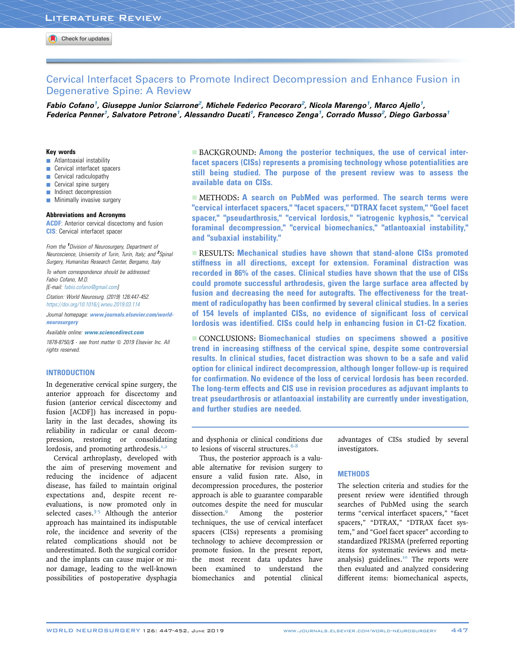# Cervical Interfacet Spacers to Promote Indirect Decompression and Enhance Fusion in Degenerative Spine: A Review

Fabio Cofano<sup>1</sup>, Giuseppe Junior Sciarrone<sup>2</sup>, Michele Federico Pecoraro<sup>2</sup>, Nicola Marengo<sup>1</sup>, Marco Ajello<sup>1</sup>, Federica Penner<sup>1</sup>, Salvatore Petrone<sup>1</sup>, Alessandro Ducati<sup>1</sup>, Francesco Zenga<sup>1</sup>, Corrado Musso<sup>2</sup>, Diego Garbossa<sup>1</sup>

#### Key words

- $\blacksquare$  Atlantoaxial instability
- **Cervical interfacet spacers**
- $\blacksquare$  Cervical radiculopathy
- **Cervical spine surgery**
- **Indirect decompression**
- $\blacksquare$  Minimally invasive surgery

#### Abbreviations and Acronyms

**ACDF**: Anterior cervical discectomy and fusion **CIS:** Cervical interfacet spacer

From the <sup>1</sup>Division of Neurosurgery, Department of Neuroscience, University of Turin, Turin, Italy; and <sup>2</sup>Spinal Surgery, Humanitas Research Center, Bergamo, Italy

To whom correspondence should be addressed: Fabio Cofano, M.D.

[E-mail: [fabio.cofano@gmail.com](mailto:fabio.cofano@gmail.com)]

Citation: World Neurosurg. (2019) 126:447-452. <https://doi.org/10.1016/j.wneu.2019.03.114>

Journal homepage: [www.journals.elsevier.com/world](www.journals.elsevier.com/world-neurosurgery)[neurosurgery](www.journals.elsevier.com/world-neurosurgery)

Available online: [www.sciencedirect.com](www.sciencedirect.com/science/journal/18788750)

1878-8750/\$ - see front matter @ 2019 Elsevier Inc. All rights reserved.

#### INTRODUCTION

In degenerative cervical spine surgery, the anterior approach for discectomy and fusion (anterior cervical discectomy and fusion [ACDF]) has increased in popularity in the last decades, showing its reliability in radicular or canal decompression, restoring or consolidating lordosis, and promoting arthrodesis. $1,2$ 

Cervical arthroplasty, developed with the aim of preserving movement and reducing the incidence of adjacent disease, has failed to maintain original expectations and, despite recent reevaluations, is now promoted only in selected cases.<sup>[3-5](#page-4-0)</sup> Although the anterior approach has maintained its indisputable role, the incidence and severity of the related complications should not be underestimated. Both the surgical corridor and the implants can cause major or minor damage, leading to the well-known possibilities of postoperative dysphagia

**BACKGROUND: Among the posterior techniques, the use of cervical inter**facet spacers (CISs) represents a promising technology whose potentialities are still being studied. The purpose of the present review was to assess the available data on CISs.

**EXACTER METHODS: A search on PubMed was performed. The search terms were** "cervical interfacet spacers," "facet spacers," "DTRAX facet system," "Goel facet spacer," "pseudarthrosis," "cervical lordosis," "iatrogenic kyphosis," "cervical foraminal decompression," "cervical biomechanics," "atlantoaxial instability," and "subaxial instability."

**EXECULTS: Mechanical studies have shown that stand-alone CISs promoted** stiffness in all directions, except for extension. Foraminal distraction was recorded in 86% of the cases. Clinical studies have shown that the use of CISs could promote successful arthrodesis, given the large surface area affected by fusion and decreasing the need for autografts. The effectiveness for the treatment of radiculopathy has been confirmed by several clinical studies. In a series of 154 levels of implanted CISs, no evidence of significant loss of cervical lordosis was identified. CISs could help in enhancing fusion in C1-C2 fixation.

- CONCLUSIONS: Biomechanical studies on specimens showed a positive trend in increasing stiffness of the cervical spine, despite some controversial results. In clinical studies, facet distraction was shown to be a safe and valid option for clinical indirect decompression, although longer follow-up is required for confirmation. No evidence of the loss of cervical lordosis has been recorded. The long-term effects and CIS use in revision procedures as adjuvant implants to treat pseudarthrosis or atlantoaxial instability are currently under investigation, and further studies are needed.

and dysphonia or clinical conditions due to lesions of visceral structures. $6-8$ 

Thus, the posterior approach is a valuable alternative for revision surgery to ensure a valid fusion rate. Also, in decompression procedures, the posterior approach is able to guarantee comparable outcomes despite the need for muscular<br>dissection.<sup>9</sup> Among the posterior Among the posterior techniques, the use of cervical interfacet spacers (CISs) represents a promising technology to achieve decompression or promote fusion. In the present report, the most recent data updates have been examined to understand the biomechanics and potential clinical

advantages of CISs studied by several investigators.

# **METHODS**

The selection criteria and studies for the present review were identified through searches of PubMed using the search terms "cervical interfacet spacers," "facet spacers," "DTRAX," "DTRAX facet system," and "Goel facet spacer" according to standardized PRISMA (preferred reporting items for systematic reviews and meta-analysis) guidelines.<sup>[10](#page-4-0)</sup> The reports were then evaluated and analyzed considering different items: biomechanical aspects,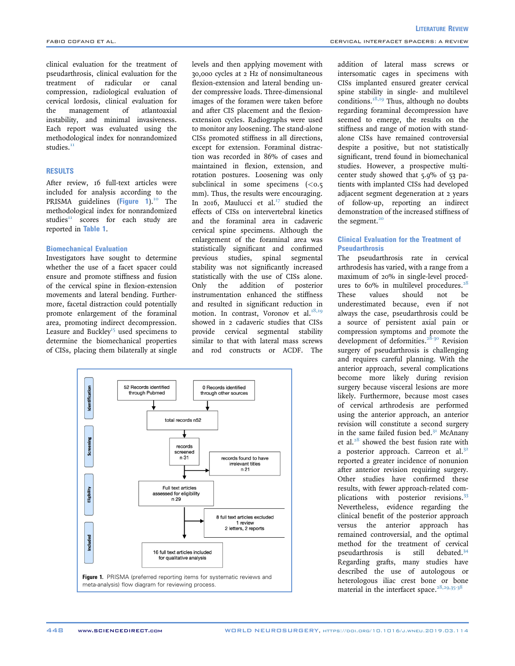clinical evaluation for the treatment of pseudarthrosis, clinical evaluation for the treatment of radicular or canal compression, radiological evaluation of cervical lordosis, clinical evaluation for the management of atlantoaxial instability, and minimal invasiveness. Each report was evaluated using the methodological index for nonrandomized studies. $<sup>11</sup>$  $<sup>11</sup>$  $<sup>11</sup>$ </sup>

#### **RESULTS**

After review, 16 full-text articles were included for analysis according to the PRISMA guidelines (Figure  $1$ ).<sup>[10](#page-4-0)</sup> The methodological index for nonrandomized studies $I<sup>H</sup>$  scores for each study are reported in [Table 1](#page-2-0).

## Biomechanical Evaluation

Investigators have sought to determine whether the use of a facet spacer could ensure and promote stiffness and fusion of the cervical spine in flexion-extension movements and lateral bending. Furthermore, facetal distraction could potentially promote enlargement of the foraminal area, promoting indirect decompression. Leasure and Buckley<sup>[15](#page-4-0)</sup> used specimens to determine the biomechanical properties of CISs, placing them bilaterally at single levels and then applying movement with 30,000 cycles at 2 Hz of nonsimultaneous flexion-extension and lateral bending under compressive loads. Three-dimensional images of the foramen were taken before and after CIS placement and the flexionextension cycles. Radiographs were used to monitor any loosening. The stand-alone CISs promoted stiffness in all directions, except for extension. Foraminal distraction was recorded in 86% of cases and maintained in flexion, extension, and rotation postures. Loosening was only subclinical in some specimens  $\zeta \sim 5$ mm). Thus, the results were encouraging. In 2016, Maulucci et al. $^{17}$  $^{17}$  $^{17}$  studied the effects of CISs on intervertebral kinetics and the foraminal area in cadaveric cervical spine specimens. Although the enlargement of the foraminal area was statistically significant and confirmed previous studies, spinal segmental stability was not significantly increased statistically with the use of CISs alone.<br>Only the addition of posterior Only the addition of posterior instrumentation enhanced the stiffness and resulted in significant reduction in motion. In contrast, Voronov et al. $18,19$ showed in 2 cadaveric studies that CISs provide cervical segmental stability similar to that with lateral mass screws and rod constructs or ACDF. The



addition of lateral mass screws or intersomatic cages in specimens with CISs implanted ensured greater cervical spine stability in single- and multilevel conditions.<sup>[18,19](#page-4-0)</sup> Thus, although no doubts regarding foraminal decompression have seemed to emerge, the results on the stiffness and range of motion with standalone CISs have remained controversial despite a positive, but not statistically significant, trend found in biomechanical studies. However, a prospective multicenter study showed that 5.9% of 53 patients with implanted CISs had developed adjacent segment degeneration at 2 years of follow-up, reporting an indirect demonstration of the increased stiffness of the segment. $20$ 

### Clinical Evaluation for the Treatment of Pseudarthrosis

The pseudarthrosis rate in cervical arthrodesis has varied, with a range from a maximum of 20% in single-level procedures to  $60\%$  in multilevel procedures.<sup>[28](#page-4-0)</sup> These values should not be underestimated because, even if not always the case, pseudarthrosis could be a source of persistent axial pain or compression symptoms and promote the development of deformities.<sup>[28-30](#page-4-0)</sup> Revision surgery of pseudarthrosis is challenging and requires careful planning. With the anterior approach, several complications become more likely during revision surgery because visceral lesions are more likely. Furthermore, because most cases of cervical arthrodesis are performed using the anterior approach, an anterior revision will constitute a second surgery in the same failed fusion bed. $3<sup>T</sup>$  McAnany et al. $28$  showed the best fusion rate with a posterior approach. Carreon et al. $32$ reported a greater incidence of nonunion after anterior revision requiring surgery. Other studies have confirmed these results, with fewer approach-related com-plications with posterior revisions.<sup>[33](#page-4-0)</sup> Nevertheless, evidence regarding the clinical benefit of the posterior approach versus the anterior approach has remained controversial, and the optimal method for the treatment of cervical pseudarthrosis is still debated.[34](#page-4-0) Regarding grafts, many studies have described the use of autologous or heterologous iliac crest bone or bone material in the interfacet space. $28,29,35-38$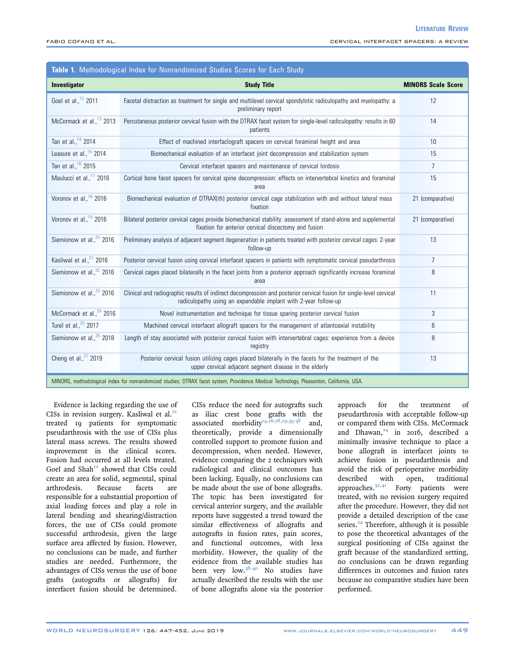<span id="page-2-0"></span>

| Table 1. Methodological Index for Nonrandomized Studies Scores for Each Study                                                           |                                                                                                                                                                                        |                           |
|-----------------------------------------------------------------------------------------------------------------------------------------|----------------------------------------------------------------------------------------------------------------------------------------------------------------------------------------|---------------------------|
| Investigator                                                                                                                            | <b>Study Title</b>                                                                                                                                                                     | <b>MINORS Scale Score</b> |
| Goel et al., <sup>12</sup> 2011                                                                                                         | Facetal distraction as treatment for single and multilevel cervical spondylotic radiculopathy and myelopathy: a<br>preliminary report                                                  | 12                        |
| McCormack et al., <sup>13</sup> 2013                                                                                                    | Percutaneous posterior cervical fusion with the DTRAX facet system for single-level radiculopathy: results in 60<br>patients                                                           | 14                        |
| Tan et al., <sup>14</sup> 2014                                                                                                          | Effect of machined interfaclograft spacers on cervical foraminal height and area                                                                                                       | 10                        |
| Leasure et al., $15$ 2014                                                                                                               | Biomechanical evaluation of an interfacet joint decompression and stabilization system                                                                                                 | 15                        |
| Tan et al., 16 2015                                                                                                                     | Cervical interfacet spacers and maintenance of cervical lordosis                                                                                                                       | 7                         |
| Maulucci et al., <sup>17</sup> 2016                                                                                                     | Cortical bone facet spacers for cervical spine decompression: effects on intervertebral kinetics and foraminal<br>area                                                                 | 15                        |
| Voronov et al., <sup>18</sup> 2016                                                                                                      | Biomechanical evaluation of DTRAX(®) posterior cervical cage stabilization with and without lateral mass<br>fixation                                                                   | 21 (comparative)          |
| Voronov et al., <sup>19</sup> 2016                                                                                                      | Bilateral posterior cervical cages provide biomechanical stability: assessment of stand-alone and supplemental<br>fixation for anterior cervical discectomy and fusion                 | 21 (comparative)          |
| Siemionow et al., <sup>20</sup> 2016                                                                                                    | Preliminary analysis of adjacent segment degeneration in patients treated with posterior cervical cages: 2-year<br>follow-up                                                           | 13                        |
| Kasliwal et al., <sup>21</sup> 2016                                                                                                     | Posterior cervical fusion using cervical interfacet spacers in patients with symptomatic cervical pseudarthrosis                                                                       | 7                         |
| Siemionow et al., <sup>22</sup> 2016                                                                                                    | Cervical cages placed bilaterally in the facet joints from a posterior approach significantly increase foraminal<br>area                                                               | 8                         |
| Siemionow et al., <sup>23</sup> 2016                                                                                                    | Clinical and radiographic results of indirect decompression and posterior cervical fusion for single-level cervical<br>radiculopathy using an expandable implant with 2-year follow-up | 11                        |
| McCormack et al., <sup>24</sup> 2016                                                                                                    | Novel instrumentation and technique for tissue sparing posterior cervical fusion                                                                                                       | 3                         |
| Turel et al., <sup>25</sup> 2017                                                                                                        | Machined cervical interfacet allograft spacers for the management of atlantoaxial instability                                                                                          | 6                         |
| Siemionow et al., <sup>26</sup> 2018                                                                                                    | Length of stay associated with posterior cervical fusion with intervertebral cages: experience from a device<br>registry                                                               | 8                         |
| Cheng et al., <sup>27</sup> 2019                                                                                                        | Posterior cervical fusion utilizing cages placed bilaterally in the facets for the treatment of the<br>upper cervical adjacent segment disease in the elderly                          | 13                        |
| MINORS, methodological index for nonrandomized studies; DTRAX facet system, Providence Medical Technology, Pleasonton, California, USA. |                                                                                                                                                                                        |                           |

Evidence is lacking regarding the use of CISs in revision surgery. Kasliwal et al. $21$ treated 19 patients for symptomatic pseudarthrosis with the use of CISs plus lateral mass screws. The results showed improvement in the clinical scores. Fusion had occurred at all levels treated. Goel and  $Shah^{12}$  $Shah^{12}$  $Shah^{12}$  showed that CISs could create an area for solid, segmental, spinal arthrodesis. Because facets are responsible for a substantial proportion of axial loading forces and play a role in lateral bending and shearing/distraction forces, the use of CISs could promote successful arthrodesis, given the large surface area affected by fusion. However, no conclusions can be made, and further studies are needed. Furthermore, the advantages of CISs versus the use of bone grafts (autografts or allografts) for interfacet fusion should be determined.

CISs reduce the need for autografts such as iliac crest bone grafts with the associated morbidity<sup>[14,16,28,29,35-38](#page-4-0)</sup> and, theoretically, provide a dimensionally controlled support to promote fusion and decompression, when needed. However, evidence comparing the 2 techniques with radiological and clinical outcomes has been lacking. Equally, no conclusions can be made about the use of bone allografts. The topic has been investigated for cervical anterior surgery, and the available reports have suggested a trend toward the similar effectiveness of allografts and autografts in fusion rates, pain scores, and functional outcomes, with less morbidity. However, the quality of the evidence from the available studies has been very low. $38-40$  No studies have actually described the results with the use of bone allografts alone via the posterior approach for the treatment of pseudarthrosis with acceptable follow-up or compared them with CISs. McCormack and Dhawan, $24$  in 2016, described a minimally invasive technique to place a bone allograft in interfacet joints to achieve fusion in pseudarthrosis and avoid the risk of perioperative morbidity described with open, traditional approaches.<sup>[32,41](#page-4-0)</sup> Forty patients were treated, with no revision surgery required after the procedure. However, they did not provide a detailed description of the case series.<sup>[24](#page-4-0)</sup> Therefore, although it is possible to pose the theoretical advantages of the surgical positioning of CISs against the graft because of the standardized setting, no conclusions can be drawn regarding differences in outcomes and fusion rates because no comparative studies have been performed.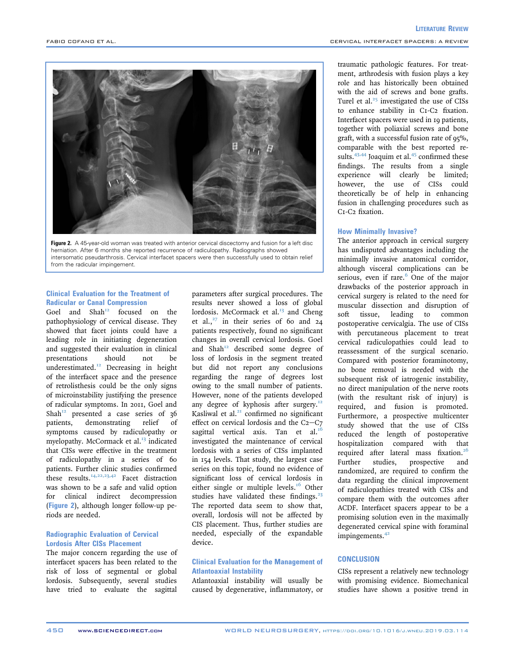

Figure 2. A 45-year-old woman was treated with anterior cervical discectomy and fusion for a left disc herniation. After 6 months she reported recurrence of radiculopathy. Radiographs showed intersomatic pseudarthrosis. Cervical interfacet spacers were then successfully used to obtain relief from the radicular impingement.

#### Clinical Evaluation for the Treatment of Radicular or Canal Compression

Goel and  $Shah^{12}$  $Shah^{12}$  $Shah^{12}$  focused on the pathophysiology of cervical disease. They showed that facet joints could have a leading role in initiating degeneration and suggested their evaluation in clinical<br>presentations should not be presentations should not underestimated.<sup>[12](#page-4-0)</sup> Decreasing in height of the interfacet space and the presence of retrolisthesis could be the only signs of microinstability justifying the presence of radicular symptoms. In 2011, Goel and Shah<sup>[12](#page-4-0)</sup> presented a case series of 36<br>patients, demonstrating relief of patients, demonstrating symptoms caused by radiculopathy or myelopathy. McCormack et al. $^{13}$  $^{13}$  $^{13}$  indicated that CISs were effective in the treatment of radiculopathy in a series of 60 patients. Further clinic studies confirmed these results.<sup>[14,22,23,42](#page-4-0)</sup> Facet distraction was shown to be a safe and valid option for clinical indirect decompression (Figure 2), although longer follow-up periods are needed.

# Radiographic Evaluation of Cervical Lordosis After CISs Placement

The major concern regarding the use of interfacet spacers has been related to the risk of loss of segmental or global lordosis. Subsequently, several studies have tried to evaluate the sagittal

parameters after surgical procedures. The results never showed a loss of global lordosis. McCormack et al.<sup>[13](#page-4-0)</sup> and Cheng et al.,<sup>[27](#page-4-0)</sup> in their series of 60 and  $24$ patients respectively, found no significant changes in overall cervical lordosis. Goel and Shah<sup>[12](#page-4-0)</sup> described some degree of loss of lordosis in the segment treated but did not report any conclusions regarding the range of degrees lost owing to the small number of patients. However, none of the patients developed any degree of kyphosis after surgery.<sup>[12](#page-4-0)</sup> Kasliwal et al.<sup>[21](#page-4-0)</sup> confirmed no significant effect on cervical lordosis and the  $C_{2}-C_{7}$ sagittal vertical axis. Tan et al. $^{16}$  $^{16}$  $^{16}$ investigated the maintenance of cervical lordosis with a series of CISs implanted in 154 levels. That study, the largest case series on this topic, found no evidence of significant loss of cervical lordosis in either single or multiple levels.<sup>[16](#page-4-0)</sup> Other studies have validated these findings.<sup>[23](#page-4-0)</sup> The reported data seem to show that, overall, lordosis will not be affected by CIS placement. Thus, further studies are needed, especially of the expandable device.

### Clinical Evaluation for the Management of Atlantoaxial Instability

Atlantoaxial instability will usually be caused by degenerative, inflammatory, or

traumatic pathologic features. For treatment, arthrodesis with fusion plays a key role and has historically been obtained with the aid of screws and bone grafts. Turel et al. $25$  investigated the use of CISs to enhance stability in C1-C2 fixation. Interfacet spacers were used in 19 patients, together with poliaxial screws and bone graft, with a successful fusion rate of 95%, comparable with the best reported re-sults.<sup>43,44</sup> Joaquim et al.<sup>[45](#page-5-0)</sup> confirmed these findings. The results from a single experience will clearly be limited; however, the use of CISs could theoretically be of help in enhancing fusion in challenging procedures such as C1-C2 fixation.

## How Minimally Invasive?

The anterior approach in cervical surgery has undisputed advantages including the minimally invasive anatomical corridor, although visceral complications can be serious, even if rare. $6$  One of the major drawbacks of the posterior approach in cervical surgery is related to the need for muscular dissection and disruption of soft tissue, leading to common postoperative cervicalgia. The use of CISs with percutaneous placement to treat cervical radiculopathies could lead to reassessment of the surgical scenario. Compared with posterior foraminotomy, no bone removal is needed with the subsequent risk of iatrogenic instability, no direct manipulation of the nerve roots (with the resultant risk of injury) is required, and fusion is promoted. Furthermore, a prospective multicenter study showed that the use of CISs reduced the length of postoperative hospitalization compared with that required after lateral mass fixation.<sup>[26](#page-4-0)</sup> Further studies, prospective and randomized, are required to confirm the data regarding the clinical improvement of radiculopathies treated with CISs and compare them with the outcomes after ACDF. Interfacet spacers appear to be a promising solution even in the maximally degenerated cervical spine with foraminal impingements.<sup>[42](#page-5-0)</sup>

## **CONCLUSION**

CISs represent a relatively new technology with promising evidence. Biomechanical studies have shown a positive trend in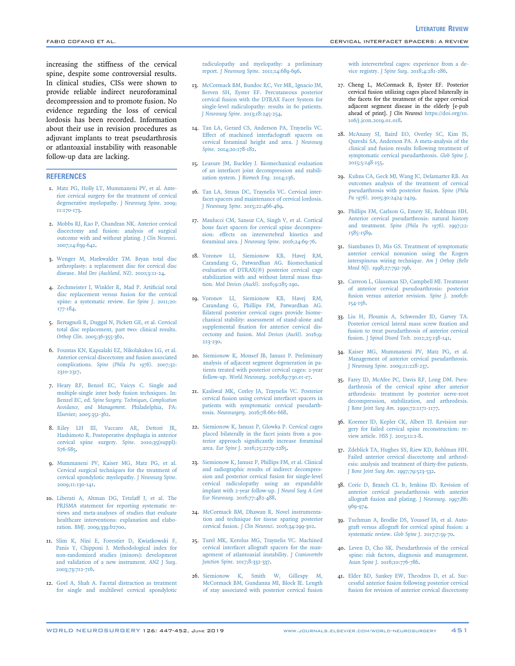<span id="page-4-0"></span>increasing the stiffness of the cervical spine, despite some controversial results. In clinical studies, CISs were shown to provide reliable indirect neuroforaminal decompression and to promote fusion. No evidence regarding the loss of cervical lordosis has been recorded. Information about their use in revision procedures as adjuvant implants to treat pseudarthrosis or atlantoaxial instability with reasonable follow-up data are lacking.

### **REFERENCES**

- 1. [Matz PG, Holly LT, Mummaneni PV, et al. Ante](http://refhub.elsevier.com/S1878-8750(19)30782-X/sref1)[rior cervical surgery for the treatment of cervical](http://refhub.elsevier.com/S1878-8750(19)30782-X/sref1) [degenerative myelopathy.](http://refhub.elsevier.com/S1878-8750(19)30782-X/sref1) J Neurosurg Spine. 2009; [11:170-173](http://refhub.elsevier.com/S1878-8750(19)30782-X/sref1).
- 2. [Mobbs RJ, Rao P, Chandran NK. Anterior cervical](http://refhub.elsevier.com/S1878-8750(19)30782-X/sref2) [discectomy and fusion: analysis of surgical](http://refhub.elsevier.com/S1878-8750(19)30782-X/sref2) [outcome with and without plating.](http://refhub.elsevier.com/S1878-8750(19)30782-X/sref2) J Clin Neurosci. [2007;14:639-642](http://refhub.elsevier.com/S1878-8750(19)30782-X/sref2).
- 3. [Wenger M, Markwalder TM. Bryan total disc](http://refhub.elsevier.com/S1878-8750(19)30782-X/sref3) [arthroplasty: a replacement disc for cervical disc](http://refhub.elsevier.com/S1878-8750(19)30782-X/sref3) disease. [Med Dev \(Auckland, NZ\)](http://refhub.elsevier.com/S1878-8750(19)30782-X/sref3). 2010;3:11-24.
- 4. [Zechmeister I, Winkler R, Mad P. Arti](http://refhub.elsevier.com/S1878-8750(19)30782-X/sref4)ficial total [disc replacement versus fusion for the cervical](http://refhub.elsevier.com/S1878-8750(19)30782-X/sref4) [spine: a systematic review.](http://refhub.elsevier.com/S1878-8750(19)30782-X/sref4) Eur Spine J. 2011;20: [177-184.](http://refhub.elsevier.com/S1878-8750(19)30782-X/sref4)
- 5. [Bertagnoli R, Duggal N, Pickett GE, et al. Cervical](http://refhub.elsevier.com/S1878-8750(19)30782-X/sref5) [total disc replacement, part two: clinical results.](http://refhub.elsevier.com/S1878-8750(19)30782-X/sref5) Orthop Clin[. 2005;36:355-362.](http://refhub.elsevier.com/S1878-8750(19)30782-X/sref5)
- 6. [Fountas KN, Kapsalaki EZ, Nikolakakos LG, et al.](http://refhub.elsevier.com/S1878-8750(19)30782-X/sref6) [Anterior cervical discectomy and fusion associated](http://refhub.elsevier.com/S1878-8750(19)30782-X/sref6) complications. [Spine \(Phila Pa 1976\)](http://refhub.elsevier.com/S1878-8750(19)30782-X/sref6). 2007;32: [2310-2317.](http://refhub.elsevier.com/S1878-8750(19)30782-X/sref6)
- 7. [Heary RF, Benzel EC, Vaicys C. Single and](http://refhub.elsevier.com/S1878-8750(19)30782-X/sref7) [multiple-single inter body fusion techniques. In:](http://refhub.elsevier.com/S1878-8750(19)30782-X/sref7) Benzel EC, ed. [Spine Surgery: Techniques, Complication](http://refhub.elsevier.com/S1878-8750(19)30782-X/sref7) [Avoidance, and Management](http://refhub.elsevier.com/S1878-8750(19)30782-X/sref7). Philadelphia, PA: [Elsevier; 2005:351-362](http://refhub.elsevier.com/S1878-8750(19)30782-X/sref7).
- 8. [Riley LH III, Vaccaro AR, Dettori JR,](http://refhub.elsevier.com/S1878-8750(19)30782-X/sref8) [Hashimoto R. Postoperative dysphagia in anterior](http://refhub.elsevier.com/S1878-8750(19)30782-X/sref8) [cervical spine surgery.](http://refhub.elsevier.com/S1878-8750(19)30782-X/sref8) Spine. 2010;35(suppl): [S76-S85.](http://refhub.elsevier.com/S1878-8750(19)30782-X/sref8)
- 9. [Mummaneni PV, Kaiser MG, Matz PG, et al.](http://refhub.elsevier.com/S1878-8750(19)30782-X/sref9) [Cervical surgical techniques for the treatment of](http://refhub.elsevier.com/S1878-8750(19)30782-X/sref9) [cervical spondylotic myelopathy.](http://refhub.elsevier.com/S1878-8750(19)30782-X/sref9) J Neurosurg Spine. [2009;11:130-141.](http://refhub.elsevier.com/S1878-8750(19)30782-X/sref9)
- 10. [Liberati A, Altman DG, Tetzlaff J, et al. The](http://refhub.elsevier.com/S1878-8750(19)30782-X/sref10) [PRISMA statement for reporting systematic re](http://refhub.elsevier.com/S1878-8750(19)30782-X/sref10)[views and meta-analyses of studies that evaluate](http://refhub.elsevier.com/S1878-8750(19)30782-X/sref10) [healthcare interventions: explanation and elabo](http://refhub.elsevier.com/S1878-8750(19)30782-X/sref10)ration. BMJ[. 2009;339:b2700.](http://refhub.elsevier.com/S1878-8750(19)30782-X/sref10)
- 11. [Slim K, Nini E, Forestier D, Kwiatkowski F,](http://refhub.elsevier.com/S1878-8750(19)30782-X/sref11) [Panis Y, Chipponi J. Methodological index for](http://refhub.elsevier.com/S1878-8750(19)30782-X/sref11) [non-randomized studies \(minors\): development](http://refhub.elsevier.com/S1878-8750(19)30782-X/sref11) [and validation of a new instrument.](http://refhub.elsevier.com/S1878-8750(19)30782-X/sref11) ANZ J Surg. [2003;73:712-716](http://refhub.elsevier.com/S1878-8750(19)30782-X/sref11).
- 12. [Goel A, Shah A. Facetal distraction as treatment](http://refhub.elsevier.com/S1878-8750(19)30782-X/sref12) [for single and multilevel cervical spondylotic](http://refhub.elsevier.com/S1878-8750(19)30782-X/sref12)

[radiculopathy and myelopathy: a preliminary](http://refhub.elsevier.com/S1878-8750(19)30782-X/sref12) report. J Neurosurg Spine[. 2011;14:689-696](http://refhub.elsevier.com/S1878-8750(19)30782-X/sref12).

- 13. [McCormack BM, Bundoc RC, Ver MR, Ignacio JM,](http://refhub.elsevier.com/S1878-8750(19)30782-X/sref13) [Berven SH, Eyster EF. Percutaneous posterior](http://refhub.elsevier.com/S1878-8750(19)30782-X/sref13) [cervical fusion with the DTRAX Facet System for](http://refhub.elsevier.com/S1878-8750(19)30782-X/sref13) [single-level radiculopathy: results in 60 patients.](http://refhub.elsevier.com/S1878-8750(19)30782-X/sref13) J Neurosurg Spine[. 2013;18:245-254.](http://refhub.elsevier.com/S1878-8750(19)30782-X/sref13)
- 14. [Tan LA, Gerard CS, Anderson PA, Traynelis VC.](http://refhub.elsevier.com/S1878-8750(19)30782-X/sref14) [Effect of machined interfaclograft spacers on](http://refhub.elsevier.com/S1878-8750(19)30782-X/sref14) [cervical foraminal height and area.](http://refhub.elsevier.com/S1878-8750(19)30782-X/sref14) J Neurosurg Spine[. 2014;20:178-182.](http://refhub.elsevier.com/S1878-8750(19)30782-X/sref14)
- 15. [Leasure JM, Buckley J. Biomechanical evaluation](http://refhub.elsevier.com/S1878-8750(19)30782-X/sref15) [of an interfacet joint decompression and stabili](http://refhub.elsevier.com/S1878-8750(19)30782-X/sref15)[zation system.](http://refhub.elsevier.com/S1878-8750(19)30782-X/sref15) J Biomech Eng. 2014;136.
- 16. [Tan LA, Straus DC, Traynelis VC. Cervical inter](http://refhub.elsevier.com/S1878-8750(19)30782-X/sref16)[facet spacers and maintenance of cervical lordosis.](http://refhub.elsevier.com/S1878-8750(19)30782-X/sref16) J Neurosurg Spine[. 2015;22:466-469.](http://refhub.elsevier.com/S1878-8750(19)30782-X/sref16)
- 17. [Maulucci CM, Sansur CA, Singh V, et al. Cortical](http://refhub.elsevier.com/S1878-8750(19)30782-X/sref17) [bone facet spacers for cervical spine decompres](http://refhub.elsevier.com/S1878-8750(19)30782-X/sref17)[sion: effects on intervertebral kinetics and](http://refhub.elsevier.com/S1878-8750(19)30782-X/sref17) foraminal area. [J Neurosurg Spine](http://refhub.elsevier.com/S1878-8750(19)30782-X/sref17). 2016;24:69-76.
- 18. [Voronov LI, Siemionow KB, Havej RM,](http://refhub.elsevier.com/S1878-8750(19)30782-X/sref18) [Carandang G, Patwardhan AG. Biomechanical](http://refhub.elsevier.com/S1878-8750(19)30782-X/sref18) [evaluation of DTRAX\(](http://refhub.elsevier.com/S1878-8750(19)30782-X/sref18)®[\) posterior cervical cage](http://refhub.elsevier.com/S1878-8750(19)30782-X/sref18) [stabilization with and without lateral mass](http://refhub.elsevier.com/S1878-8750(19)30782-X/sref18) fixation. [Med Devices \(Auckl\)](http://refhub.elsevier.com/S1878-8750(19)30782-X/sref18). 2016;9:285-290.
- 19. [Voronov LI, Siemionow KB, Havej RM,](http://refhub.elsevier.com/S1878-8750(19)30782-X/sref19) [Carandang G, Phillips FM, Patwardhan AG.](http://refhub.elsevier.com/S1878-8750(19)30782-X/sref19) [Bilateral posterior cervical cages provide biome](http://refhub.elsevier.com/S1878-8750(19)30782-X/sref19)[chanical stability: assessment of stand-alone and](http://refhub.elsevier.com/S1878-8750(19)30782-X/sref19) supplemental fi[xation for anterior cervical dis](http://refhub.elsevier.com/S1878-8750(19)30782-X/sref19)[cectomy and fusion.](http://refhub.elsevier.com/S1878-8750(19)30782-X/sref19) Med Devices (Auckl). 2016;9: [223-230.](http://refhub.elsevier.com/S1878-8750(19)30782-X/sref19)
- 20. [Siemionow K, Monsef JB, Janusz P. Preliminary](http://refhub.elsevier.com/S1878-8750(19)30782-X/sref20) [analysis of adjacent segment degeneration in pa](http://refhub.elsevier.com/S1878-8750(19)30782-X/sref20)[tients treated with posterior cervical cages: 2-year](http://refhub.elsevier.com/S1878-8750(19)30782-X/sref20) follow-up. World Neurosurg[. 2016;89:730.e1-e7](http://refhub.elsevier.com/S1878-8750(19)30782-X/sref20).
- 21. [Kasliwal MK, Corley JA, Traynelis VC. Posterior](http://refhub.elsevier.com/S1878-8750(19)30782-X/sref21) [cervical fusion using cervical interfacet spacers in](http://refhub.elsevier.com/S1878-8750(19)30782-X/sref21) [patients with symptomatic cervical pseudarth](http://refhub.elsevier.com/S1878-8750(19)30782-X/sref21)rosis. Neurosurgery[. 2016;78:661-668](http://refhub.elsevier.com/S1878-8750(19)30782-X/sref21).
- 22. [Siemionow K, Janusz P, Glowka P. Cervical cages](http://refhub.elsevier.com/S1878-8750(19)30782-X/sref22) [placed bilaterally in the facet joints from a pos](http://refhub.elsevier.com/S1878-8750(19)30782-X/sref22)terior approach signifi[cantly increase foraminal](http://refhub.elsevier.com/S1878-8750(19)30782-X/sref22) area. Eur Spine J[. 2016;25:2279-2285.](http://refhub.elsevier.com/S1878-8750(19)30782-X/sref22)
- 23. [Siemionow K, Janusz P, Phillips FM, et al. Clinical](http://refhub.elsevier.com/S1878-8750(19)30782-X/sref23) [and radiographic results of indirect decompres](http://refhub.elsevier.com/S1878-8750(19)30782-X/sref23)[sion and posterior cervical fusion for single-level](http://refhub.elsevier.com/S1878-8750(19)30782-X/sref23) [cervical radiculopathy using an expandable](http://refhub.elsevier.com/S1878-8750(19)30782-X/sref23) [implant with 2-year follow-up.](http://refhub.elsevier.com/S1878-8750(19)30782-X/sref23) J Neurol Surg A Cent Eur Neurosurg[. 2016;77:482-488.](http://refhub.elsevier.com/S1878-8750(19)30782-X/sref23)
- 24. [McCormack BM, Dhawan R. Novel instrumenta](http://refhub.elsevier.com/S1878-8750(19)30782-X/sref24)[tion and technique for tissue sparing posterior](http://refhub.elsevier.com/S1878-8750(19)30782-X/sref24) cervical fusion. J Clin Neurosci[. 2016;34:299-302.](http://refhub.elsevier.com/S1878-8750(19)30782-X/sref24)
- 25. [Turel MK, Kerolus MG, Traynelis VC. Machined](http://refhub.elsevier.com/S1878-8750(19)30782-X/sref25) [cervical interfacet allograft spacers for the man](http://refhub.elsevier.com/S1878-8750(19)30782-X/sref25)[agement of atlantoaxial instability.](http://refhub.elsevier.com/S1878-8750(19)30782-X/sref25) J Craniovertebr Junction Spine[. 2017;8:332-337.](http://refhub.elsevier.com/S1878-8750(19)30782-X/sref25)
- 26. [Siemionow K, Smith W, Gillespy M,](http://refhub.elsevier.com/S1878-8750(19)30782-X/sref26) [McCormack BM, Gundanna MI, Block JE. Length](http://refhub.elsevier.com/S1878-8750(19)30782-X/sref26) [of stay associated with posterior cervical fusion](http://refhub.elsevier.com/S1878-8750(19)30782-X/sref26)

[with intervertebral cages: experience from a de](http://refhub.elsevier.com/S1878-8750(19)30782-X/sref26)vice registry. J Spine Surg[. 2018;4:281-286](http://refhub.elsevier.com/S1878-8750(19)30782-X/sref26).

- 27. Cheng L, McCormack B, Eyster EF. Posterior cervical fusion utilizing cages placed bilaterally in the facets for the treatment of the upper cervical adjacent segment disease in the elderly [e-pub ahead of print]. J Clin Neurosci [https://doi.org/10.](https://doi.org/10.106/j.jcon.2019.01.018) [106/j.jcon.2019.01.018.](https://doi.org/10.106/j.jcon.2019.01.018)
- 28. [McAnany SJ, Baird EO, Overley SC, Kim JS,](http://refhub.elsevier.com/S1878-8750(19)30782-X/sref28) [Qureshi SA, Anderson PA. A meta-analysis of the](http://refhub.elsevier.com/S1878-8750(19)30782-X/sref28) [clinical and fusion results following treatment of](http://refhub.elsevier.com/S1878-8750(19)30782-X/sref28) [symptomatic cervical pseudarthrosis.](http://refhub.elsevier.com/S1878-8750(19)30782-X/sref28) Glob Spine J. [2015;5:148-155.](http://refhub.elsevier.com/S1878-8750(19)30782-X/sref28)
- 29. [Kuhns CA, Geck MJ, Wang JC, Delamarter RB. An](http://refhub.elsevier.com/S1878-8750(19)30782-X/sref29) [outcomes analysis of the treatment of cervical](http://refhub.elsevier.com/S1878-8750(19)30782-X/sref29) [pseudarthrosis with posterior fusion.](http://refhub.elsevier.com/S1878-8750(19)30782-X/sref29) Spine (Phila Pa 1976)[. 2005;30:2424-2429.](http://refhub.elsevier.com/S1878-8750(19)30782-X/sref29)
- 30. [Phillips FM, Carlson G, Emery SE, Bohlman HH.](http://refhub.elsevier.com/S1878-8750(19)30782-X/sref30) [Anterior cervical pseudarthrosis: natural history](http://refhub.elsevier.com/S1878-8750(19)30782-X/sref30) and treatment. [Spine \(Phila Pa 1976\)](http://refhub.elsevier.com/S1878-8750(19)30782-X/sref30). 1997;22: [1585-1589](http://refhub.elsevier.com/S1878-8750(19)30782-X/sref30).
- 31. [Siambanes D, Mis GS. Treatment of symptomatic](http://refhub.elsevier.com/S1878-8750(19)30782-X/sref31) [anterior cervical nonunion using the Rogers](http://refhub.elsevier.com/S1878-8750(19)30782-X/sref31) [interspinous wiring technique.](http://refhub.elsevier.com/S1878-8750(19)30782-X/sref31) Am J Orthop (Belle Mead NJ)[. 1998;27:792-796](http://refhub.elsevier.com/S1878-8750(19)30782-X/sref31).
- 32. [Carreon L, Glassman SD, Campbell MJ. Treatment](http://refhub.elsevier.com/S1878-8750(19)30782-X/sref32) [of anterior cervical pseudoarthrosis: posterior](http://refhub.elsevier.com/S1878-8750(19)30782-X/sref32) [fusion versus anterior revision.](http://refhub.elsevier.com/S1878-8750(19)30782-X/sref32) Spine J. 2006;6: [154-156.](http://refhub.elsevier.com/S1878-8750(19)30782-X/sref32)
- 33. [Liu H, Ploumis A, Schwender JD, Garvey TA.](http://refhub.elsevier.com/S1878-8750(19)30782-X/sref33) [Posterior cervical lateral mass screw](http://refhub.elsevier.com/S1878-8750(19)30782-X/sref33) fixation and [fusion to treat pseudarthrosis of anterior cervical](http://refhub.elsevier.com/S1878-8750(19)30782-X/sref33) fusion. [J Spinal Disord Tech](http://refhub.elsevier.com/S1878-8750(19)30782-X/sref33). 2012;25:138-141.
- 34. [Kaiser MG, Mummaneni PV, Matz PG, et al.](http://refhub.elsevier.com/S1878-8750(19)30782-X/sref34) [Management of anterior cervical pseudarthrosis.](http://refhub.elsevier.com/S1878-8750(19)30782-X/sref34) J Neurosurg Spine[. 2009;11:228-237.](http://refhub.elsevier.com/S1878-8750(19)30782-X/sref34)
- 35. [Farey ID, McAfee PC, Davis RF, Long DM. Pseu](http://refhub.elsevier.com/S1878-8750(19)30782-X/sref35)[darthrosis of the cervical spine after anterior](http://refhub.elsevier.com/S1878-8750(19)30782-X/sref35) [arthrodesis: treatment by posterior nerve-root](http://refhub.elsevier.com/S1878-8750(19)30782-X/sref35) [decompression, stabilization, and arthrodesis.](http://refhub.elsevier.com/S1878-8750(19)30782-X/sref35) [J Bone Joint Surg Am](http://refhub.elsevier.com/S1878-8750(19)30782-X/sref35). 1990;72:1171-1177.
- 36. [Koerner JD, Kepler CK, Albert TJ. Revision sur](http://refhub.elsevier.com/S1878-8750(19)30782-X/sref36)[gery for failed cervical spine reconstruction: re](http://refhub.elsevier.com/S1878-8750(19)30782-X/sref36)view article. HSS J[. 2015;11:2-8.](http://refhub.elsevier.com/S1878-8750(19)30782-X/sref36)
- 37. [Zdeblick TA, Hughes SS, Riew KD, Bohlman HH.](http://refhub.elsevier.com/S1878-8750(19)30782-X/sref37) [Failed anterior cervical discectomy and arthrod](http://refhub.elsevier.com/S1878-8750(19)30782-X/sref37)[esis: analysis and treatment of thirty-](http://refhub.elsevier.com/S1878-8750(19)30782-X/sref37)five patients. [J Bone Joint Surg Am](http://refhub.elsevier.com/S1878-8750(19)30782-X/sref37). 1997;79:523-532.
- 38. [Coric D, Branch CL Jr, Jenkins JD. Revision of](http://refhub.elsevier.com/S1878-8750(19)30782-X/sref38) [anterior cervical pseudarthrosis with anterior](http://refhub.elsevier.com/S1878-8750(19)30782-X/sref38) [allograft fusion and plating.](http://refhub.elsevier.com/S1878-8750(19)30782-X/sref38) J Neurosurg. 1997;86: [969-974](http://refhub.elsevier.com/S1878-8750(19)30782-X/sref38).
- 39. [Tuchman A, Brodke DS, Youssef JA, et al. Auto](http://refhub.elsevier.com/S1878-8750(19)30782-X/sref39)[graft versus allograft for cervical spinal fusion: a](http://refhub.elsevier.com/S1878-8750(19)30782-X/sref39) [systematic review.](http://refhub.elsevier.com/S1878-8750(19)30782-X/sref39) Glob Spine J. 2017;7:59-70.
- 40. [Leven D, Cho SK. Pseudarthrosis of the cervical](http://refhub.elsevier.com/S1878-8750(19)30782-X/sref40) [spine: risk factors, diagnosis and management.](http://refhub.elsevier.com/S1878-8750(19)30782-X/sref40) Asian Spine J[. 2016;10:776-786](http://refhub.elsevier.com/S1878-8750(19)30782-X/sref40).
- 41. [Elder BD, Sankey EW, Theodros D, et al. Suc](http://refhub.elsevier.com/S1878-8750(19)30782-X/sref41)[cessful anterior fusion following posterior cervical](http://refhub.elsevier.com/S1878-8750(19)30782-X/sref41) [fusion for revision of anterior cervical discectomy](http://refhub.elsevier.com/S1878-8750(19)30782-X/sref41)